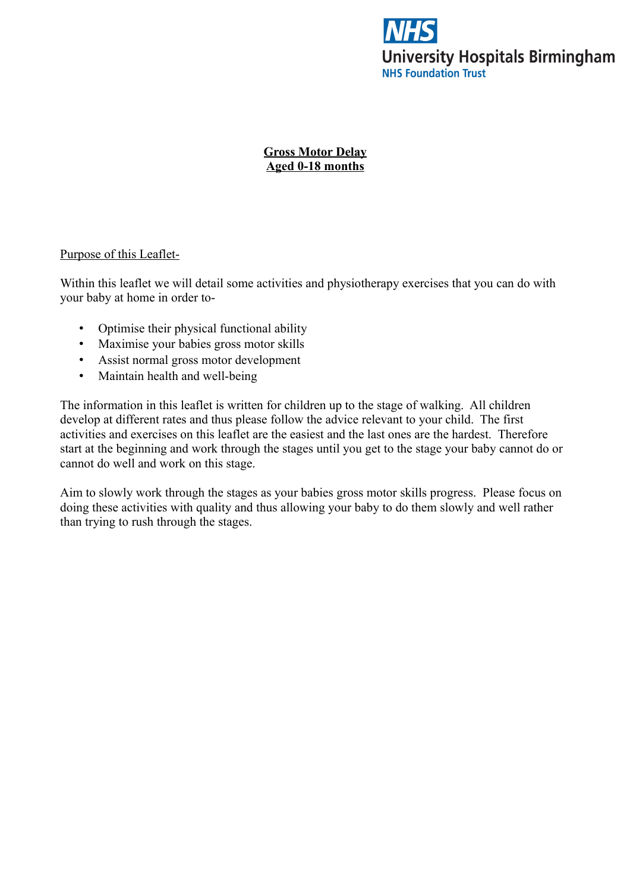

**Gross Motor Delay Aged 0-18 months**

### Purpose of this Leaflet-

Within this leaflet we will detail some activities and physiotherapy exercises that you can do with your baby at home in order to-

- Optimise their physical functional ability
- Maximise your babies gross motor skills
- Assist normal gross motor development
- Maintain health and well-being

The information in this leaflet is written for children up to the stage of walking. All children develop at different rates and thus please follow the advice relevant to your child. The first activities and exercises on this leaflet are the easiest and the last ones are the hardest. Therefore start at the beginning and work through the stages until you get to the stage your baby cannot do or cannot do well and work on this stage.

Aim to slowly work through the stages as your babies gross motor skills progress. Please focus on doing these activities with quality and thus allowing your baby to do them slowly and well rather than trying to rush through the stages.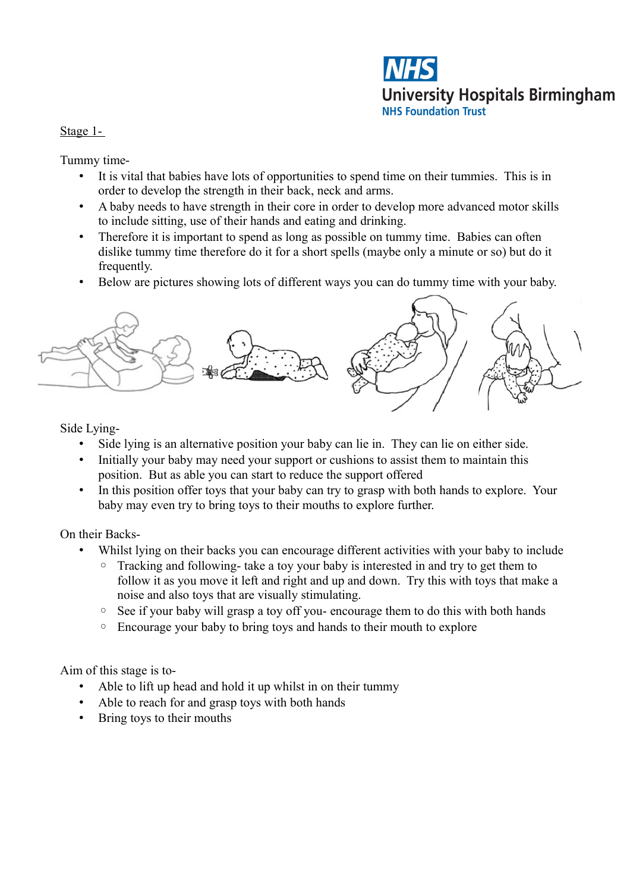

Stage 1-

Tummy time-

- It is vital that babies have lots of opportunities to spend time on their tummies. This is in order to develop the strength in their back, neck and arms.
- A baby needs to have strength in their core in order to develop more advanced motor skills to include sitting, use of their hands and eating and drinking.
- Therefore it is important to spend as long as possible on tummy time. Babies can often dislike tummy time therefore do it for a short spells (maybe only a minute or so) but do it frequently.
- Below are pictures showing lots of different ways you can do tummy time with your baby.



Side Lying-

- Side lying is an alternative position your baby can lie in. They can lie on either side.
- Initially your baby may need your support or cushions to assist them to maintain this position. But as able you can start to reduce the support offered
- In this position offer toys that your baby can try to grasp with both hands to explore. Your baby may even try to bring toys to their mouths to explore further.

On their Backs-

- Whilst lying on their backs you can encourage different activities with your baby to include
	- Tracking and following- take a toy your baby is interested in and try to get them to follow it as you move it left and right and up and down. Try this with toys that make a noise and also toys that are visually stimulating.
	- See if your baby will grasp a toy off you- encourage them to do this with both hands
	- Encourage your baby to bring toys and hands to their mouth to explore

- Able to lift up head and hold it up whilst in on their tummy
- Able to reach for and grasp toys with both hands
- Bring toys to their mouths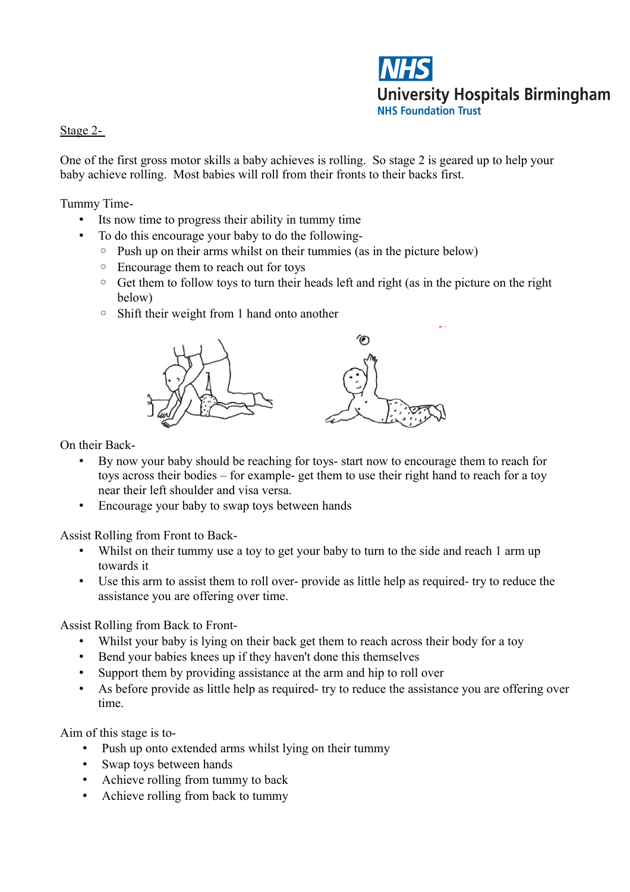

## Stage 2-

One of the first gross motor skills a baby achieves is rolling. So stage 2 is geared up to help your baby achieve rolling. Most babies will roll from their fronts to their backs first.

Tummy Time-

- Its now time to progress their ability in tummy time
- To do this encourage your baby to do the following-
	- Push up on their arms whilst on their tummies (as in the picture below)
	- Encourage them to reach out for toys
	- Get them to follow toys to turn their heads left and right (as in the picture on the right below)
	- Shift their weight from 1 hand onto another



On their Back-

- By now your baby should be reaching for toys- start now to encourage them to reach for toys across their bodies – for example- get them to use their right hand to reach for a toy near their left shoulder and visa versa.
- Encourage your baby to swap toys between hands

Assist Rolling from Front to Back-

- Whilst on their tummy use a toy to get your baby to turn to the side and reach 1 arm up towards it
- Use this arm to assist them to roll over- provide as little help as required- try to reduce the assistance you are offering over time.

Assist Rolling from Back to Front-

- Whilst your baby is lying on their back get them to reach across their body for a toy
- Bend your babies knees up if they haven't done this themselves
- Support them by providing assistance at the arm and hip to roll over
- As before provide as little help as required- try to reduce the assistance you are offering over time.

- Push up onto extended arms whilst lying on their tummy
- Swap toys between hands
- Achieve rolling from tummy to back
- Achieve rolling from back to tummy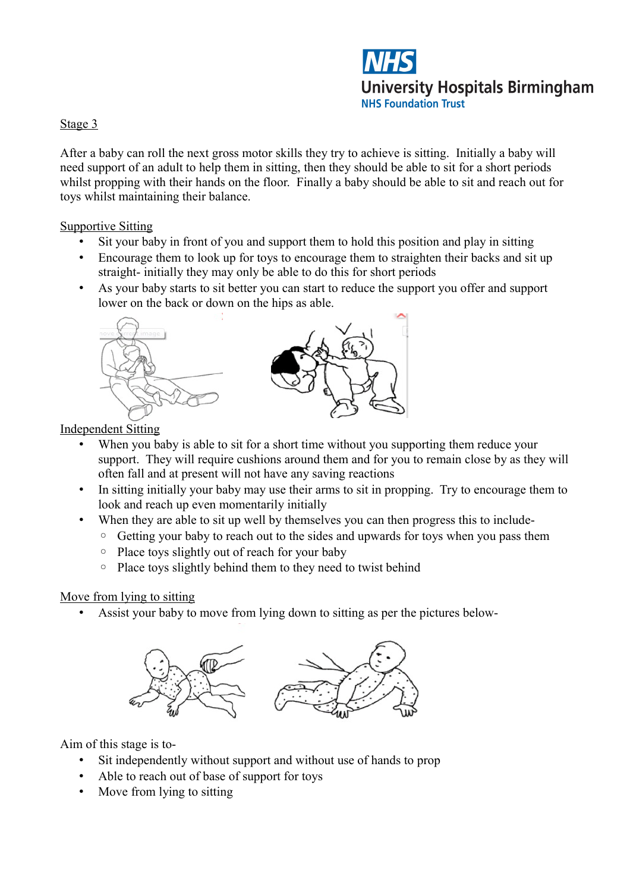

## Stage 3

After a baby can roll the next gross motor skills they try to achieve is sitting. Initially a baby will need support of an adult to help them in sitting, then they should be able to sit for a short periods whilst propping with their hands on the floor. Finally a baby should be able to sit and reach out for toys whilst maintaining their balance.

Supportive Sitting

- Sit your baby in front of you and support them to hold this position and play in sitting
- Encourage them to look up for toys to encourage them to straighten their backs and sit up straight- initially they may only be able to do this for short periods
- As your baby starts to sit better you can start to reduce the support you offer and support lower on the back or down on the hips as able.



Independent Sitting

- When you baby is able to sit for a short time without you supporting them reduce your support. They will require cushions around them and for you to remain close by as they will often fall and at present will not have any saving reactions
- In sitting initially your baby may use their arms to sit in propping. Try to encourage them to look and reach up even momentarily initially
- When they are able to sit up well by themselves you can then progress this to include-
	- Getting your baby to reach out to the sides and upwards for toys when you pass them
		- Place toys slightly out of reach for your baby
		- Place toys slightly behind them to they need to twist behind

## Move from lying to sitting

• Assist your baby to move from lying down to sitting as per the pictures below-



- Sit independently without support and without use of hands to prop
- Able to reach out of base of support for toys
- Move from lying to sitting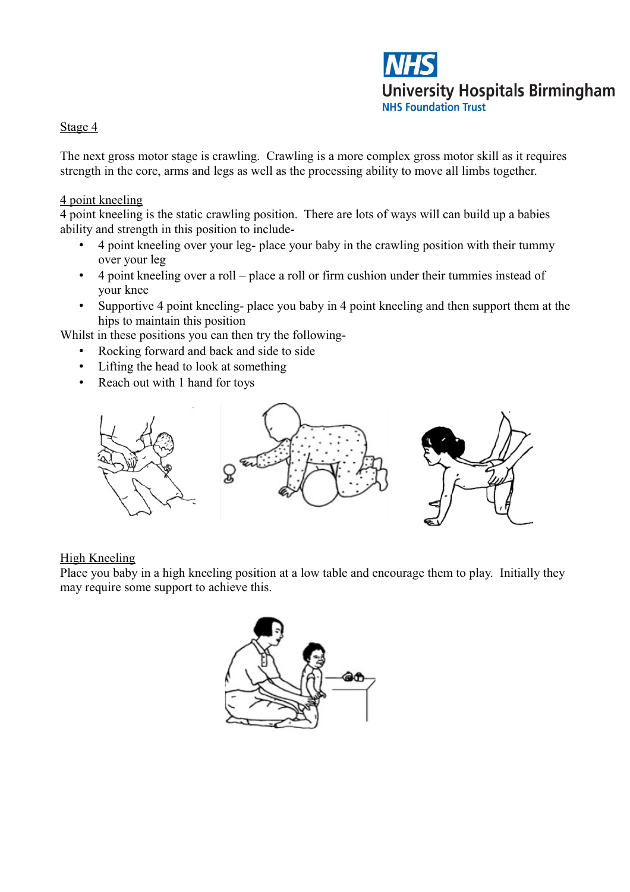

## Stage 4

The next gross motor stage is crawling. Crawling is a more complex gross motor skill as it requires strength in the core, arms and legs as well as the processing ability to move all limbs together.

### 4 point kneeling

4 point kneeling is the static crawling position. There are lots of ways will can build up a babies ability and strength in this position to include-

- 4 point kneeling over your leg- place your baby in the crawling position with their tummy over your leg
- 4 point kneeling over a roll place a roll or firm cushion under their tummies instead of your knee
- Supportive 4 point kneeling- place you baby in 4 point kneeling and then support them at the hips to maintain this position

Whilst in these positions you can then try the following-

- Rocking forward and back and side to side
- Lifting the head to look at something
- Reach out with 1 hand for toys



#### High Kneeling

Place you baby in a high kneeling position at a low table and encourage them to play. Initially they may require some support to achieve this.

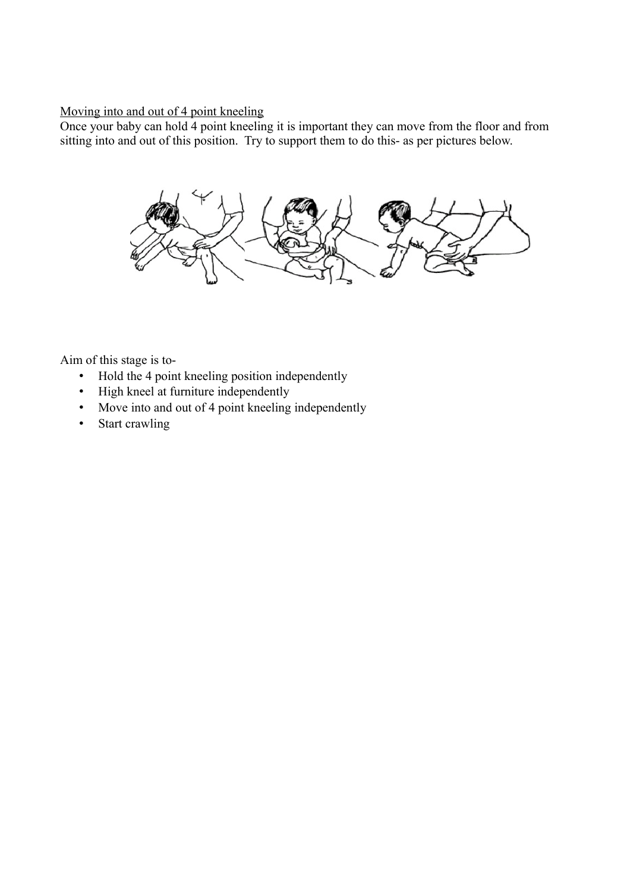## Moving into and out of 4 point kneeling

Once your baby can hold 4 point kneeling it is important they can move from the floor and from sitting into and out of this position. Try to support them to do this- as per pictures below.



- Hold the 4 point kneeling position independently
- High kneel at furniture independently
- Move into and out of 4 point kneeling independently
- Start crawling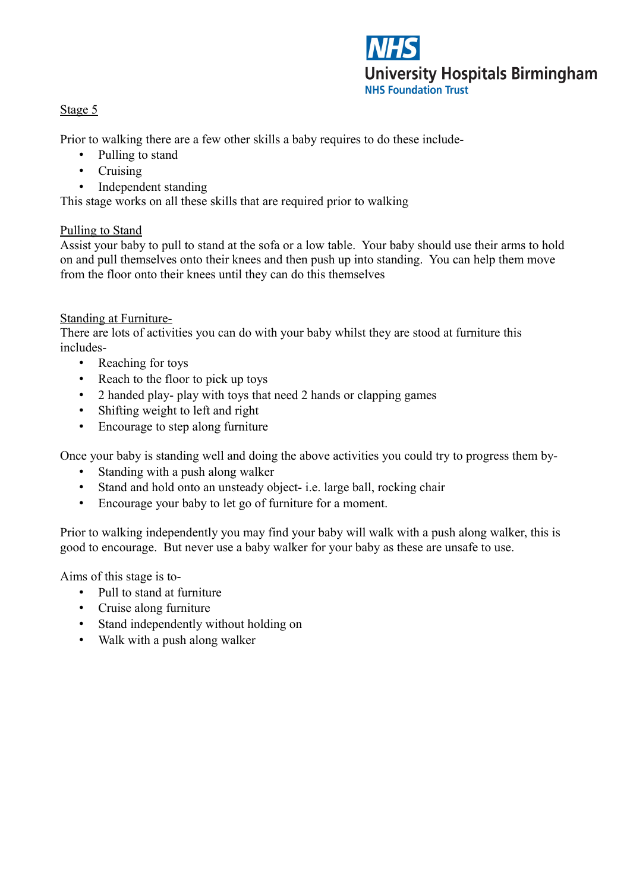

# Stage 5

Prior to walking there are a few other skills a baby requires to do these include-

- Pulling to stand
- Cruising
- Independent standing

This stage works on all these skills that are required prior to walking

## Pulling to Stand

Assist your baby to pull to stand at the sofa or a low table. Your baby should use their arms to hold on and pull themselves onto their knees and then push up into standing. You can help them move from the floor onto their knees until they can do this themselves

## Standing at Furniture-

There are lots of activities you can do with your baby whilst they are stood at furniture this includes-

- Reaching for toys
- Reach to the floor to pick up toys
- 2 handed play- play with toys that need 2 hands or clapping games
- Shifting weight to left and right
- Encourage to step along furniture

Once your baby is standing well and doing the above activities you could try to progress them by-

- Standing with a push along walker
- Stand and hold onto an unsteady object- i.e. large ball, rocking chair
- Encourage your baby to let go of furniture for a moment.

Prior to walking independently you may find your baby will walk with a push along walker, this is good to encourage. But never use a baby walker for your baby as these are unsafe to use.

- Pull to stand at furniture
- Cruise along furniture
- Stand independently without holding on
- Walk with a push along walker